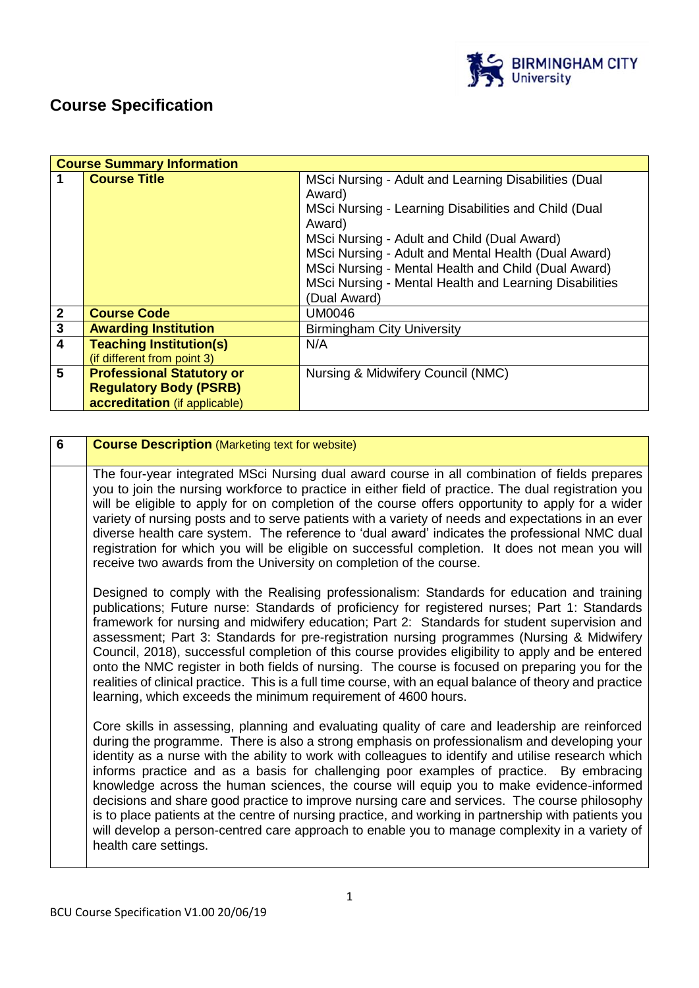

# **Course Specification**

|                           | <b>Course Summary Information</b> |                                                        |  |  |
|---------------------------|-----------------------------------|--------------------------------------------------------|--|--|
| 1                         | <b>Course Title</b>               | MSci Nursing - Adult and Learning Disabilities (Dual   |  |  |
|                           |                                   | Award)                                                 |  |  |
|                           |                                   | MSci Nursing - Learning Disabilities and Child (Dual   |  |  |
|                           |                                   | Award)                                                 |  |  |
|                           |                                   | MSci Nursing - Adult and Child (Dual Award)            |  |  |
|                           |                                   | MSci Nursing - Adult and Mental Health (Dual Award)    |  |  |
|                           |                                   | MSci Nursing - Mental Health and Child (Dual Award)    |  |  |
|                           |                                   | MSci Nursing - Mental Health and Learning Disabilities |  |  |
|                           |                                   | (Dual Award)                                           |  |  |
| $\mathbf{2}$              | <b>Course Code</b>                | <b>UM0046</b>                                          |  |  |
| $\overline{\overline{3}}$ | <b>Awarding Institution</b>       | <b>Birmingham City University</b>                      |  |  |
| $\overline{\mathbf{4}}$   | <b>Teaching Institution(s)</b>    | N/A                                                    |  |  |
|                           | (if different from point 3)       |                                                        |  |  |
| $5\phantom{.0}$           | <b>Professional Statutory or</b>  | Nursing & Midwifery Council (NMC)                      |  |  |
|                           | <b>Regulatory Body (PSRB)</b>     |                                                        |  |  |
|                           | accreditation (if applicable)     |                                                        |  |  |

| 6 | <b>Course Description (Marketing text for website)</b>                                                                                                                                                                                                                                                                                                                                                                                                                                                                                                                                                                                                                                                                                                                                                                            |
|---|-----------------------------------------------------------------------------------------------------------------------------------------------------------------------------------------------------------------------------------------------------------------------------------------------------------------------------------------------------------------------------------------------------------------------------------------------------------------------------------------------------------------------------------------------------------------------------------------------------------------------------------------------------------------------------------------------------------------------------------------------------------------------------------------------------------------------------------|
|   |                                                                                                                                                                                                                                                                                                                                                                                                                                                                                                                                                                                                                                                                                                                                                                                                                                   |
|   | The four-year integrated MSci Nursing dual award course in all combination of fields prepares<br>you to join the nursing workforce to practice in either field of practice. The dual registration you<br>will be eligible to apply for on completion of the course offers opportunity to apply for a wider<br>variety of nursing posts and to serve patients with a variety of needs and expectations in an ever<br>diverse health care system. The reference to 'dual award' indicates the professional NMC dual<br>registration for which you will be eligible on successful completion. It does not mean you will<br>receive two awards from the University on completion of the course.                                                                                                                                       |
|   | Designed to comply with the Realising professionalism: Standards for education and training<br>publications; Future nurse: Standards of proficiency for registered nurses; Part 1: Standards<br>framework for nursing and midwifery education; Part 2: Standards for student supervision and<br>assessment; Part 3: Standards for pre-registration nursing programmes (Nursing & Midwifery<br>Council, 2018), successful completion of this course provides eligibility to apply and be entered<br>onto the NMC register in both fields of nursing. The course is focused on preparing you for the<br>realities of clinical practice. This is a full time course, with an equal balance of theory and practice<br>learning, which exceeds the minimum requirement of 4600 hours.                                                  |
|   | Core skills in assessing, planning and evaluating quality of care and leadership are reinforced<br>during the programme. There is also a strong emphasis on professionalism and developing your<br>identity as a nurse with the ability to work with colleagues to identify and utilise research which<br>informs practice and as a basis for challenging poor examples of practice. By embracing<br>knowledge across the human sciences, the course will equip you to make evidence-informed<br>decisions and share good practice to improve nursing care and services. The course philosophy<br>is to place patients at the centre of nursing practice, and working in partnership with patients you<br>will develop a person-centred care approach to enable you to manage complexity in a variety of<br>health care settings. |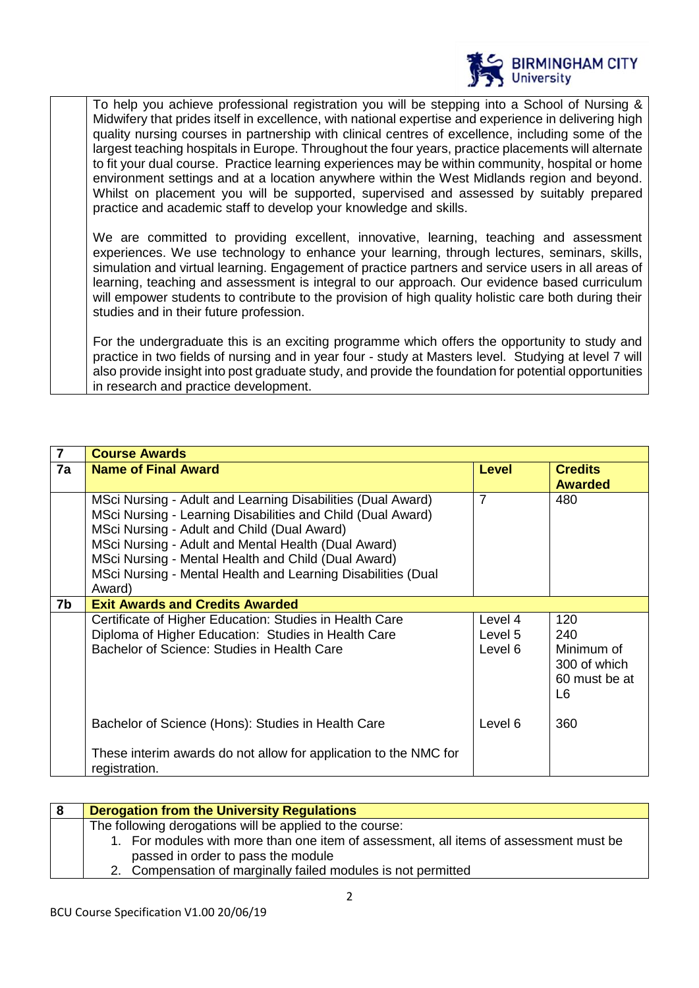

To help you achieve professional registration you will be stepping into a School of Nursing & Midwifery that prides itself in excellence, with national expertise and experience in delivering high quality nursing courses in partnership with clinical centres of excellence, including some of the largest teaching hospitals in Europe. Throughout the four years, practice placements will alternate to fit your dual course. Practice learning experiences may be within community, hospital or home environment settings and at a location anywhere within the West Midlands region and beyond. Whilst on placement you will be supported, supervised and assessed by suitably prepared practice and academic staff to develop your knowledge and skills.

We are committed to providing excellent, innovative, learning, teaching and assessment experiences. We use technology to enhance your learning, through lectures, seminars, skills, simulation and virtual learning. Engagement of practice partners and service users in all areas of learning, teaching and assessment is integral to our approach. Our evidence based curriculum will empower students to contribute to the provision of high quality holistic care both during their studies and in their future profession.

For the undergraduate this is an exciting programme which offers the opportunity to study and practice in two fields of nursing and in year four - study at Masters level. Studying at level 7 will also provide insight into post graduate study, and provide the foundation for potential opportunities in research and practice development.

| $\overline{7}$ | <b>Course Awards</b>                                                                                                                                                                                                                                                                                                                                              |                               |                                                                 |  |
|----------------|-------------------------------------------------------------------------------------------------------------------------------------------------------------------------------------------------------------------------------------------------------------------------------------------------------------------------------------------------------------------|-------------------------------|-----------------------------------------------------------------|--|
| 7a             | <b>Name of Final Award</b>                                                                                                                                                                                                                                                                                                                                        | <b>Level</b>                  | <b>Credits</b><br><b>Awarded</b>                                |  |
|                | MSci Nursing - Adult and Learning Disabilities (Dual Award)<br>MSci Nursing - Learning Disabilities and Child (Dual Award)<br>MSci Nursing - Adult and Child (Dual Award)<br>MSci Nursing - Adult and Mental Health (Dual Award)<br>MSci Nursing - Mental Health and Child (Dual Award)<br>MSci Nursing - Mental Health and Learning Disabilities (Dual<br>Award) | $\overline{7}$                | 480                                                             |  |
| 7b             | <b>Exit Awards and Credits Awarded</b>                                                                                                                                                                                                                                                                                                                            |                               |                                                                 |  |
|                | Certificate of Higher Education: Studies in Health Care<br>Diploma of Higher Education: Studies in Health Care<br>Bachelor of Science: Studies in Health Care                                                                                                                                                                                                     | Level 4<br>Level 5<br>Level 6 | 120<br>240<br>Minimum of<br>300 of which<br>60 must be at<br>L6 |  |
|                | Bachelor of Science (Hons): Studies in Health Care                                                                                                                                                                                                                                                                                                                | Level 6                       | 360                                                             |  |
|                | These interim awards do not allow for application to the NMC for<br>registration.                                                                                                                                                                                                                                                                                 |                               |                                                                 |  |

| 8 | <b>Derogation from the University Regulations</b>                                                                           |
|---|-----------------------------------------------------------------------------------------------------------------------------|
|   | The following derogations will be applied to the course:                                                                    |
|   | 1. For modules with more than one item of assessment, all items of assessment must be<br>passed in order to pass the module |
|   | 2. Compensation of marginally failed modules is not permitted                                                               |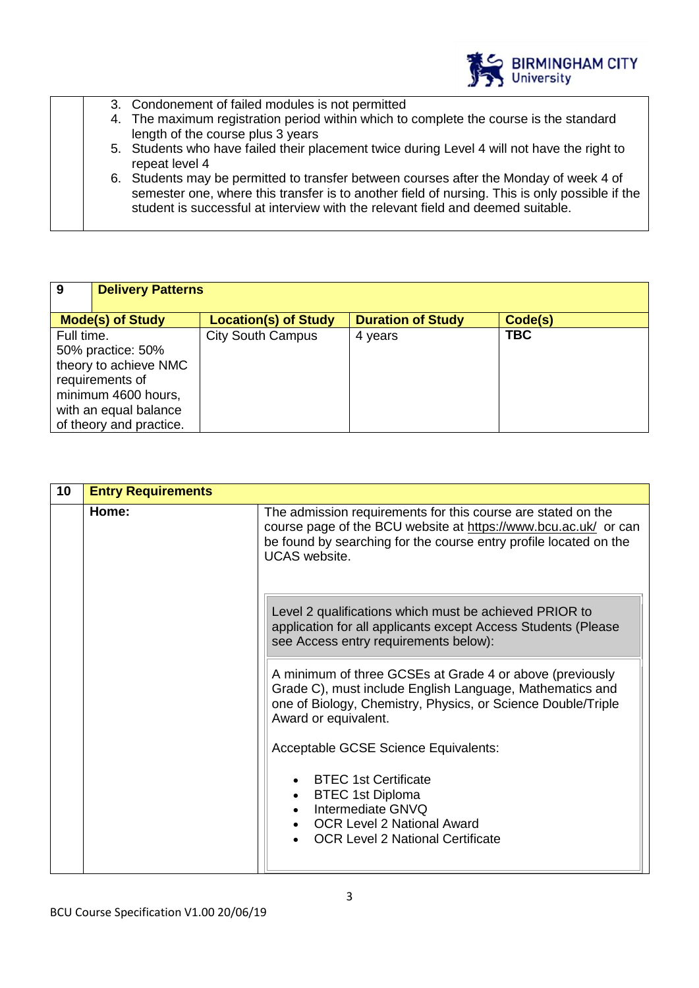

| 3. Condonement of failed modules is not permitted                                                                                                                                                                                                                           |
|-----------------------------------------------------------------------------------------------------------------------------------------------------------------------------------------------------------------------------------------------------------------------------|
| 4. The maximum registration period within which to complete the course is the standard<br>length of the course plus 3 years                                                                                                                                                 |
| 5. Students who have failed their placement twice during Level 4 will not have the right to<br>repeat level 4                                                                                                                                                               |
| 6. Students may be permitted to transfer between courses after the Monday of week 4 of<br>semester one, where this transfer is to another field of nursing. This is only possible if the<br>student is successful at interview with the relevant field and deemed suitable. |
|                                                                                                                                                                                                                                                                             |

| 9          | <b>Delivery Patterns</b>                                                                                                                 |                             |                          |            |
|------------|------------------------------------------------------------------------------------------------------------------------------------------|-----------------------------|--------------------------|------------|
|            | <b>Mode(s) of Study</b>                                                                                                                  | <b>Location(s) of Study</b> | <b>Duration of Study</b> | Code(s)    |
| Full time. | 50% practice: 50%<br>theory to achieve NMC<br>requirements of<br>minimum 4600 hours,<br>with an equal balance<br>of theory and practice. | <b>City South Campus</b>    | 4 years                  | <b>TBC</b> |

| 10 | <b>Entry Requirements</b> |                                                                                                                                                                                                                                                                                                                                                                                                                                                                                                                                                                                                                                                          |  |
|----|---------------------------|----------------------------------------------------------------------------------------------------------------------------------------------------------------------------------------------------------------------------------------------------------------------------------------------------------------------------------------------------------------------------------------------------------------------------------------------------------------------------------------------------------------------------------------------------------------------------------------------------------------------------------------------------------|--|
|    | Home:                     | The admission requirements for this course are stated on the<br>course page of the BCU website at https://www.bcu.ac.uk/ or can<br>be found by searching for the course entry profile located on the<br><b>UCAS</b> website.<br>Level 2 qualifications which must be achieved PRIOR to<br>application for all applicants except Access Students (Please<br>see Access entry requirements below):<br>A minimum of three GCSEs at Grade 4 or above (previously<br>Grade C), must include English Language, Mathematics and<br>one of Biology, Chemistry, Physics, or Science Double/Triple<br>Award or equivalent.<br>Acceptable GCSE Science Equivalents: |  |
|    |                           |                                                                                                                                                                                                                                                                                                                                                                                                                                                                                                                                                                                                                                                          |  |
|    |                           |                                                                                                                                                                                                                                                                                                                                                                                                                                                                                                                                                                                                                                                          |  |
|    |                           |                                                                                                                                                                                                                                                                                                                                                                                                                                                                                                                                                                                                                                                          |  |
|    |                           | <b>BTEC 1st Certificate</b><br><b>BTEC 1st Diploma</b><br>Intermediate GNVQ<br><b>OCR Level 2 National Award</b><br><b>OCR Level 2 National Certificate</b>                                                                                                                                                                                                                                                                                                                                                                                                                                                                                              |  |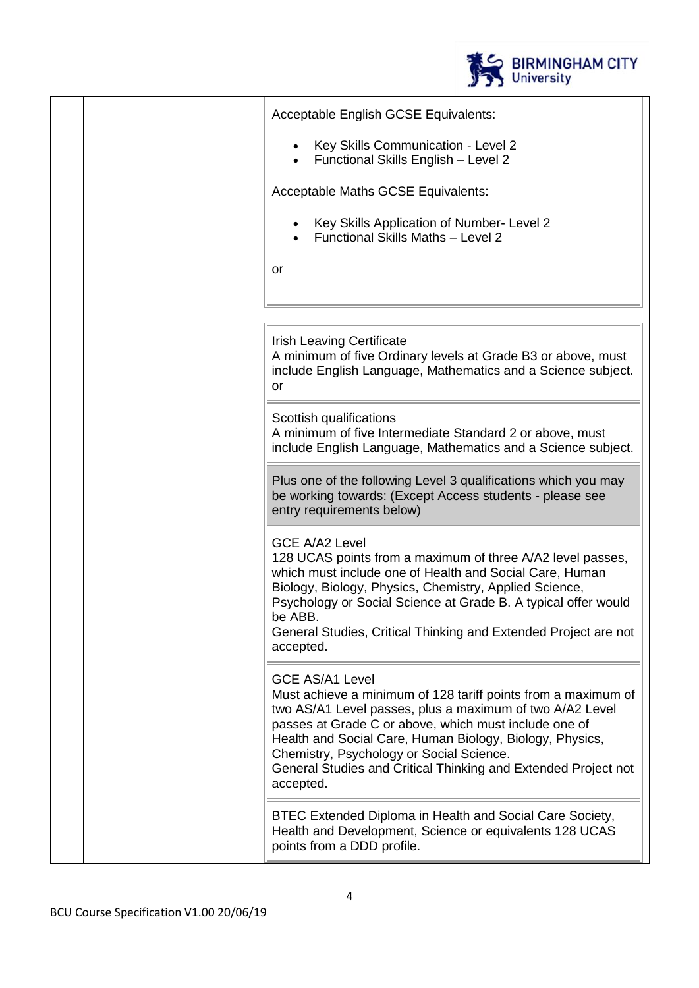

| Acceptable English GCSE Equivalents:                                                                                                                                                                                                                                                                                                                                                                |
|-----------------------------------------------------------------------------------------------------------------------------------------------------------------------------------------------------------------------------------------------------------------------------------------------------------------------------------------------------------------------------------------------------|
| Key Skills Communication - Level 2<br>Functional Skills English - Level 2                                                                                                                                                                                                                                                                                                                           |
| Acceptable Maths GCSE Equivalents:                                                                                                                                                                                                                                                                                                                                                                  |
| Key Skills Application of Number- Level 2<br>Functional Skills Maths - Level 2                                                                                                                                                                                                                                                                                                                      |
| or                                                                                                                                                                                                                                                                                                                                                                                                  |
|                                                                                                                                                                                                                                                                                                                                                                                                     |
| <b>Irish Leaving Certificate</b><br>A minimum of five Ordinary levels at Grade B3 or above, must<br>include English Language, Mathematics and a Science subject.<br>or                                                                                                                                                                                                                              |
| Scottish qualifications<br>A minimum of five Intermediate Standard 2 or above, must<br>include English Language, Mathematics and a Science subject.                                                                                                                                                                                                                                                 |
| Plus one of the following Level 3 qualifications which you may<br>be working towards: (Except Access students - please see<br>entry requirements below)                                                                                                                                                                                                                                             |
| <b>GCE A/A2 Level</b><br>128 UCAS points from a maximum of three A/A2 level passes,<br>which must include one of Health and Social Care, Human<br>Biology, Biology, Physics, Chemistry, Applied Science,<br>Psychology or Social Science at Grade B. A typical offer would<br>be ABB.<br>General Studies, Critical Thinking and Extended Project are not<br>accepted.                               |
| <b>GCE AS/A1 Level</b><br>Must achieve a minimum of 128 tariff points from a maximum of<br>two AS/A1 Level passes, plus a maximum of two A/A2 Level<br>passes at Grade C or above, which must include one of<br>Health and Social Care, Human Biology, Biology, Physics,<br>Chemistry, Psychology or Social Science.<br>General Studies and Critical Thinking and Extended Project not<br>accepted. |
| BTEC Extended Diploma in Health and Social Care Society,<br>Health and Development, Science or equivalents 128 UCAS<br>points from a DDD profile.                                                                                                                                                                                                                                                   |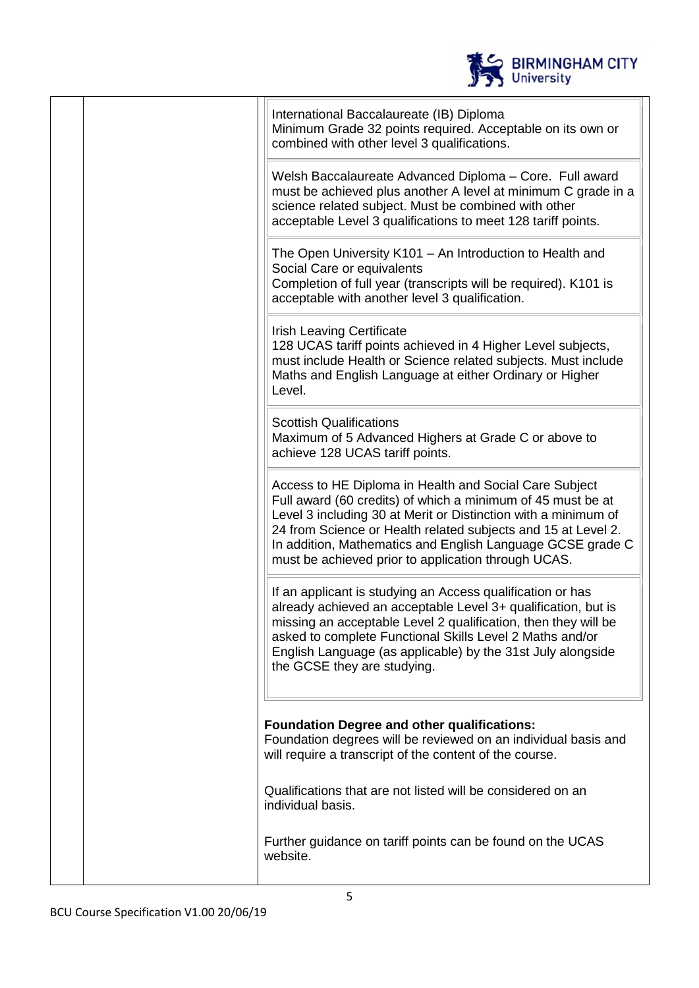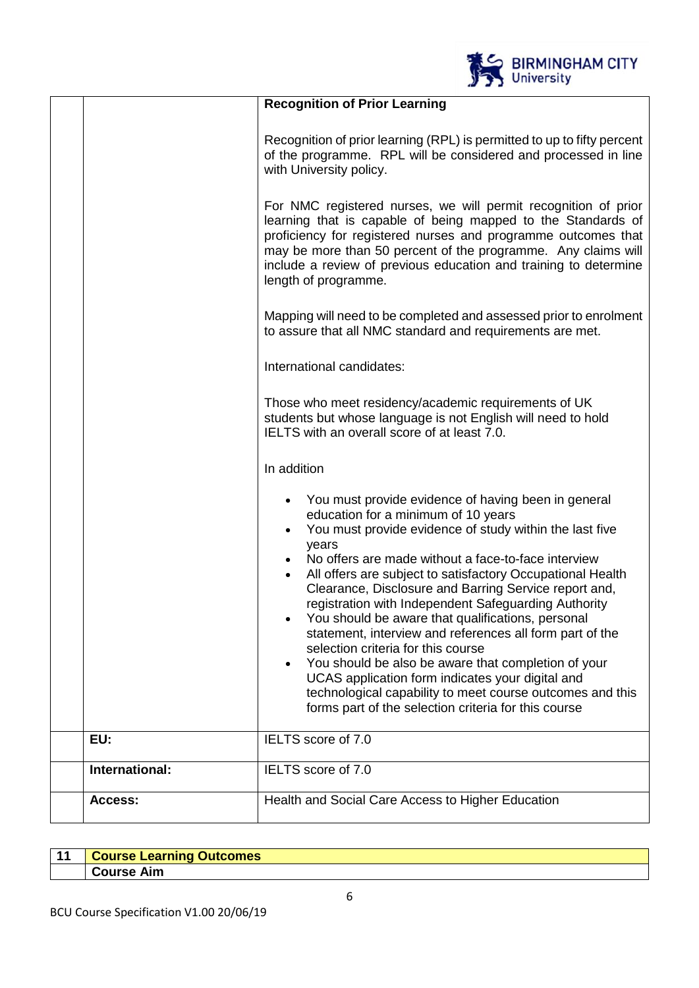|                | BIRMINGHAM CITY                                                                                                                                                                                                                                                                                                                                                                                                                                           |  |  |
|----------------|-----------------------------------------------------------------------------------------------------------------------------------------------------------------------------------------------------------------------------------------------------------------------------------------------------------------------------------------------------------------------------------------------------------------------------------------------------------|--|--|
|                | <b>Recognition of Prior Learning</b>                                                                                                                                                                                                                                                                                                                                                                                                                      |  |  |
|                | Recognition of prior learning (RPL) is permitted to up to fifty percent<br>of the programme. RPL will be considered and processed in line<br>with University policy.                                                                                                                                                                                                                                                                                      |  |  |
|                | For NMC registered nurses, we will permit recognition of prior<br>learning that is capable of being mapped to the Standards of<br>proficiency for registered nurses and programme outcomes that<br>may be more than 50 percent of the programme. Any claims will<br>include a review of previous education and training to determine<br>length of programme.                                                                                              |  |  |
|                | Mapping will need to be completed and assessed prior to enrolment<br>to assure that all NMC standard and requirements are met.                                                                                                                                                                                                                                                                                                                            |  |  |
|                | International candidates:                                                                                                                                                                                                                                                                                                                                                                                                                                 |  |  |
|                | Those who meet residency/academic requirements of UK<br>students but whose language is not English will need to hold<br>IELTS with an overall score of at least 7.0.                                                                                                                                                                                                                                                                                      |  |  |
|                | In addition                                                                                                                                                                                                                                                                                                                                                                                                                                               |  |  |
|                | You must provide evidence of having been in general<br>education for a minimum of 10 years<br>You must provide evidence of study within the last five<br>years<br>No offers are made without a face-to-face interview<br>All offers are subject to satisfactory Occupational Health<br>Clearance, Disclosure and Barring Service report and,<br>registration with Independent Safeguarding Authority<br>You should be aware that qualifications, personal |  |  |
|                | statement, interview and references all form part of the<br>selection criteria for this course<br>You should be also be aware that completion of your<br>$\bullet$<br>UCAS application form indicates your digital and<br>technological capability to meet course outcomes and this<br>forms part of the selection criteria for this course                                                                                                               |  |  |
| EU:            | IELTS score of 7.0                                                                                                                                                                                                                                                                                                                                                                                                                                        |  |  |
| International: | IELTS score of 7.0                                                                                                                                                                                                                                                                                                                                                                                                                                        |  |  |
| Access:        | Health and Social Care Access to Higher Education                                                                                                                                                                                                                                                                                                                                                                                                         |  |  |

| l 11 | <b>Course Learning Outcomes</b> |
|------|---------------------------------|
|      | : Aim<br>Course r               |
|      |                                 |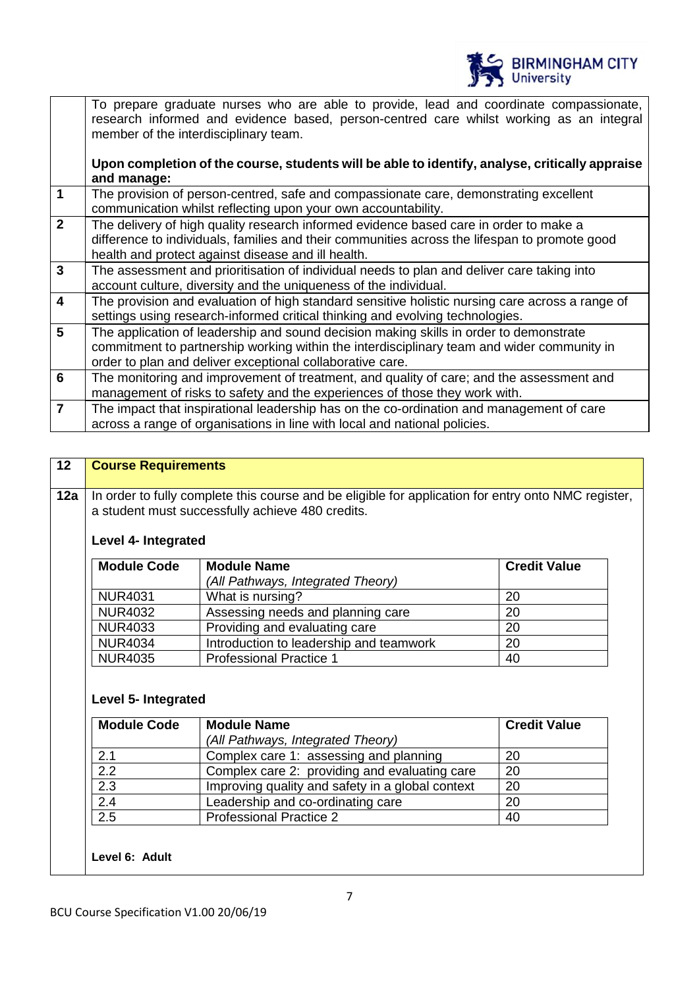

|                | To prepare graduate nurses who are able to provide, lead and coordinate compassionate,<br>research informed and evidence based, person-centred care whilst working as an integral<br>member of the interdisciplinary team.                        |
|----------------|---------------------------------------------------------------------------------------------------------------------------------------------------------------------------------------------------------------------------------------------------|
|                | Upon completion of the course, students will be able to identify, analyse, critically appraise<br>and manage:                                                                                                                                     |
| 1              | The provision of person-centred, safe and compassionate care, demonstrating excellent<br>communication whilst reflecting upon your own accountability.                                                                                            |
| $\overline{2}$ | The delivery of high quality research informed evidence based care in order to make a<br>difference to individuals, families and their communities across the lifespan to promote good<br>health and protect against disease and ill health.      |
| $\mathbf{3}$   | The assessment and prioritisation of individual needs to plan and deliver care taking into<br>account culture, diversity and the uniqueness of the individual.                                                                                    |
| 4              | The provision and evaluation of high standard sensitive holistic nursing care across a range of<br>settings using research-informed critical thinking and evolving technologies.                                                                  |
| $5\phantom{1}$ | The application of leadership and sound decision making skills in order to demonstrate<br>commitment to partnership working within the interdisciplinary team and wider community in<br>order to plan and deliver exceptional collaborative care. |
| 6              | The monitoring and improvement of treatment, and quality of care; and the assessment and<br>management of risks to safety and the experiences of those they work with.                                                                            |
| $\overline{7}$ | The impact that inspirational leadership has on the co-ordination and management of care<br>across a range of organisations in line with local and national policies.                                                                             |

| 12  | <b>Course Requirements</b>                                                                                                                                                     |                                         |    |
|-----|--------------------------------------------------------------------------------------------------------------------------------------------------------------------------------|-----------------------------------------|----|
|     |                                                                                                                                                                                |                                         |    |
| 12a | In order to fully complete this course and be eligible for application for entry onto NMC register,<br>a student must successfully achieve 480 credits.<br>Level 4- Integrated |                                         |    |
|     | <b>Module Code</b><br><b>Credit Value</b><br><b>Module Name</b><br>(All Pathways, Integrated Theory)                                                                           |                                         |    |
|     | What is nursing?<br><b>NUR4031</b><br>20                                                                                                                                       |                                         |    |
|     | <b>NUR4032</b><br>Assessing needs and planning care<br>20                                                                                                                      |                                         |    |
|     | Providing and evaluating care<br><b>NUR4033</b><br>20                                                                                                                          |                                         |    |
|     | <b>NUR4034</b>                                                                                                                                                                 | Introduction to leadership and teamwork | 20 |
|     | <b>NUR4035</b>                                                                                                                                                                 | <b>Professional Practice 1</b>          | 40 |

# **Level 5- Integrated**

| <b>Module Code</b> | <b>Module Name</b>                               | <b>Credit Value</b> |  |
|--------------------|--------------------------------------------------|---------------------|--|
|                    | (All Pathways, Integrated Theory)                |                     |  |
| 2.1                | Complex care 1: assessing and planning           | 20                  |  |
| $\overline{2.2}$   | Complex care 2: providing and evaluating care    | 20                  |  |
| $\overline{2.3}$   | Improving quality and safety in a global context | 20                  |  |
| 2.4                | Leadership and co-ordinating care                | 20                  |  |
| 2.5                | <b>Professional Practice 2</b>                   | 40                  |  |

**Level 6: Adult**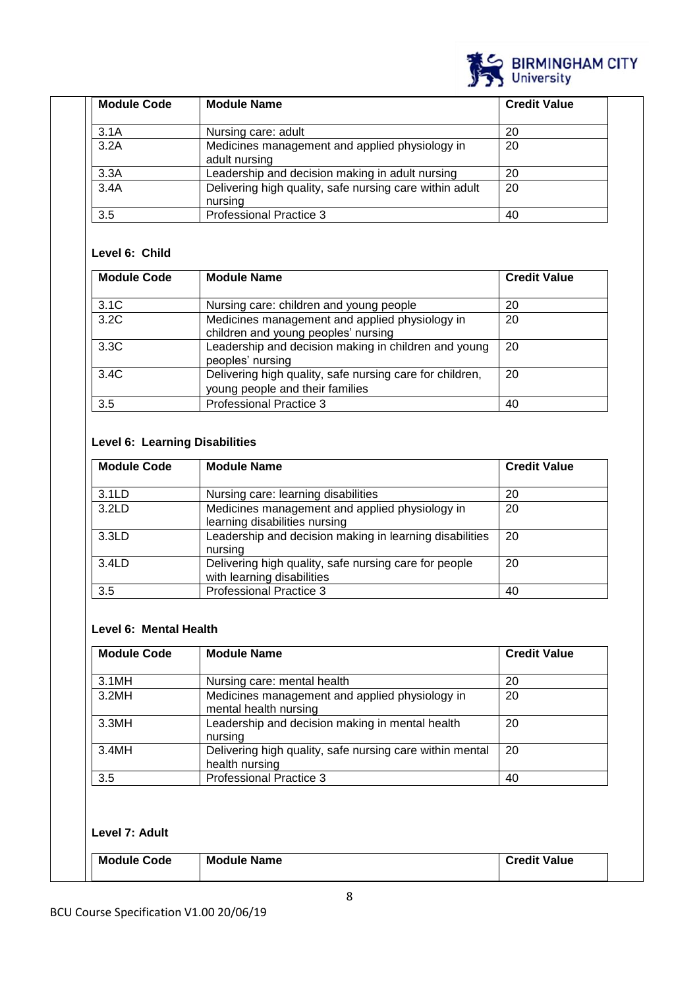

| <b>Module Code</b> | <b>Module Name</b>                                                 | <b>Credit Value</b> |
|--------------------|--------------------------------------------------------------------|---------------------|
| 3.1A               | Nursing care: adult                                                | 20                  |
| 3.2A               | Medicines management and applied physiology in<br>adult nursing    | 20                  |
| 3.3A               | Leadership and decision making in adult nursing                    | 20                  |
| 3.4A               | Delivering high quality, safe nursing care within adult<br>nursing | 20                  |
| 3.5                | <b>Professional Practice 3</b>                                     | 40                  |

## **Level 6: Child**

| <b>Module Code</b> | <b>Module Name</b>                                                                          | <b>Credit Value</b> |
|--------------------|---------------------------------------------------------------------------------------------|---------------------|
| 3.1C               | Nursing care: children and young people                                                     | 20                  |
| 3.2C               | Medicines management and applied physiology in<br>children and young peoples' nursing       | 20                  |
| 3.3C               | Leadership and decision making in children and young<br>peoples' nursing                    | 20                  |
| 3.4C               | Delivering high quality, safe nursing care for children,<br>young people and their families | 20                  |
| 3.5                | <b>Professional Practice 3</b>                                                              | 40                  |

# **Level 6: Learning Disabilities**

| <b>Module Code</b> | <b>Module Name</b>                                                                  | <b>Credit Value</b> |
|--------------------|-------------------------------------------------------------------------------------|---------------------|
| 3.1LD              | Nursing care: learning disabilities                                                 | 20                  |
| 3.2LD              | Medicines management and applied physiology in<br>learning disabilities nursing     | 20                  |
| 3.3LD              | Leadership and decision making in learning disabilities<br>nursing                  | 20                  |
| 3.4LD              | Delivering high quality, safe nursing care for people<br>with learning disabilities | 20                  |
| 3.5                | <b>Professional Practice 3</b>                                                      | 40                  |

#### **Level 6: Mental Health**

| <b>Module Code</b> | <b>Module Name</b>                                                         | <b>Credit Value</b> |
|--------------------|----------------------------------------------------------------------------|---------------------|
| 3.1MH              | Nursing care: mental health                                                | 20                  |
| 3.2MH              | Medicines management and applied physiology in<br>mental health nursing    | 20                  |
| 3.3MH              | Leadership and decision making in mental health<br>nursing                 | 20                  |
| 3.4MH              | Delivering high quality, safe nursing care within mental<br>health nursing | 20                  |
| 3.5                | <b>Professional Practice 3</b>                                             | 40                  |

## **Level 7: Adult**

| <b>Module</b><br>Code | <b>Module Name</b> | <b>Credit Value</b> |  |
|-----------------------|--------------------|---------------------|--|
|                       |                    |                     |  |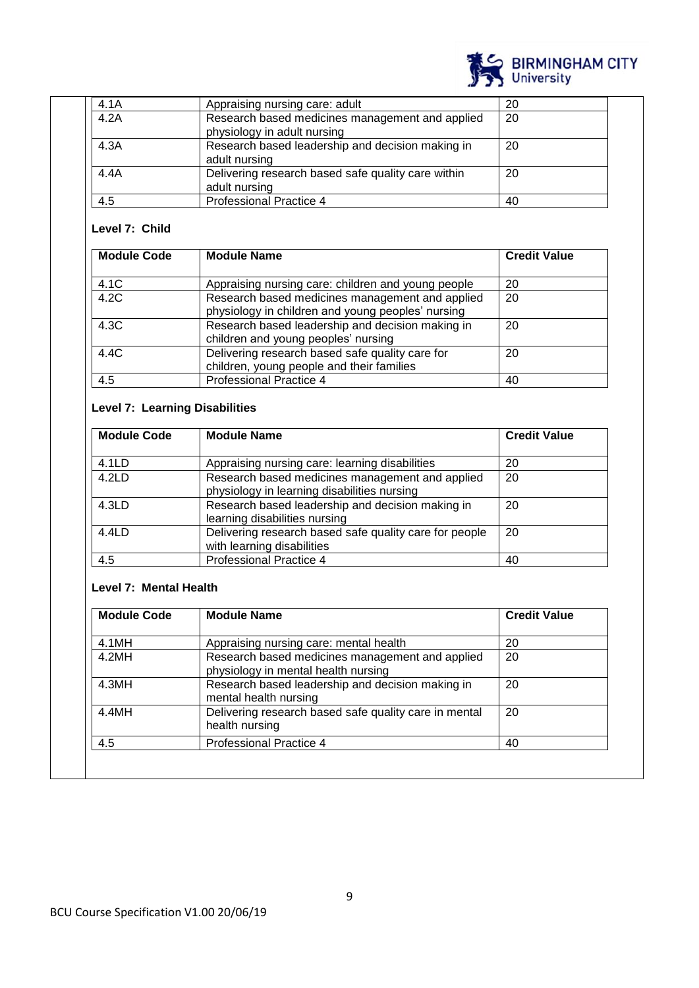

| 4.1A | Appraising nursing care: adult                                                 | 20 |
|------|--------------------------------------------------------------------------------|----|
| 4.2A | Research based medicines management and applied<br>physiology in adult nursing | 20 |
| 4.3A | Research based leadership and decision making in<br>adult nursing              | 20 |
| 4.4A | Delivering research based safe quality care within<br>adult nursing            | 20 |
| 4.5  | <b>Professional Practice 4</b>                                                 | 40 |

# **Level 7: Child**

| <b>Module Code</b> | <b>Module Name</b>                                 | <b>Credit Value</b> |
|--------------------|----------------------------------------------------|---------------------|
|                    |                                                    |                     |
| 4.1C               | Appraising nursing care: children and young people | 20                  |
| 4.2C               | Research based medicines management and applied    | -20                 |
|                    | physiology in children and young peoples' nursing  |                     |
| 4.3C               | Research based leadership and decision making in   | 20                  |
|                    | children and young peoples' nursing                |                     |
| 4.4C               | Delivering research based safe quality care for    | 20                  |
|                    | children, young people and their families          |                     |
| 4.5                | <b>Professional Practice 4</b>                     | 40                  |

# **Level 7: Learning Disabilities**

| <b>Module Code</b> | <b>Module Name</b>                                                                             | <b>Credit Value</b> |
|--------------------|------------------------------------------------------------------------------------------------|---------------------|
|                    |                                                                                                |                     |
| 4.1LD              | Appraising nursing care: learning disabilities                                                 | 20                  |
| 4.2LD              | Research based medicines management and applied<br>physiology in learning disabilities nursing | 20                  |
| 4.3LD              | Research based leadership and decision making in<br>learning disabilities nursing              | 20                  |
| 4.4LD              | Delivering research based safe quality care for people<br>with learning disabilities           | 20                  |
| 4.5                | <b>Professional Practice 4</b>                                                                 | 40                  |

### **Level 7: Mental Health**

| <b>Module Code</b> | <b>Module Name</b>                                                                     | <b>Credit Value</b> |
|--------------------|----------------------------------------------------------------------------------------|---------------------|
| 4.1MH              | Appraising nursing care: mental health                                                 | 20                  |
| 4.2MH              | Research based medicines management and applied<br>physiology in mental health nursing | 20                  |
| 4.3MH              | Research based leadership and decision making in<br>mental health nursing              | 20                  |
| 4.4MH              | Delivering research based safe quality care in mental<br>health nursing                | 20                  |
| 4.5                | <b>Professional Practice 4</b>                                                         | 40                  |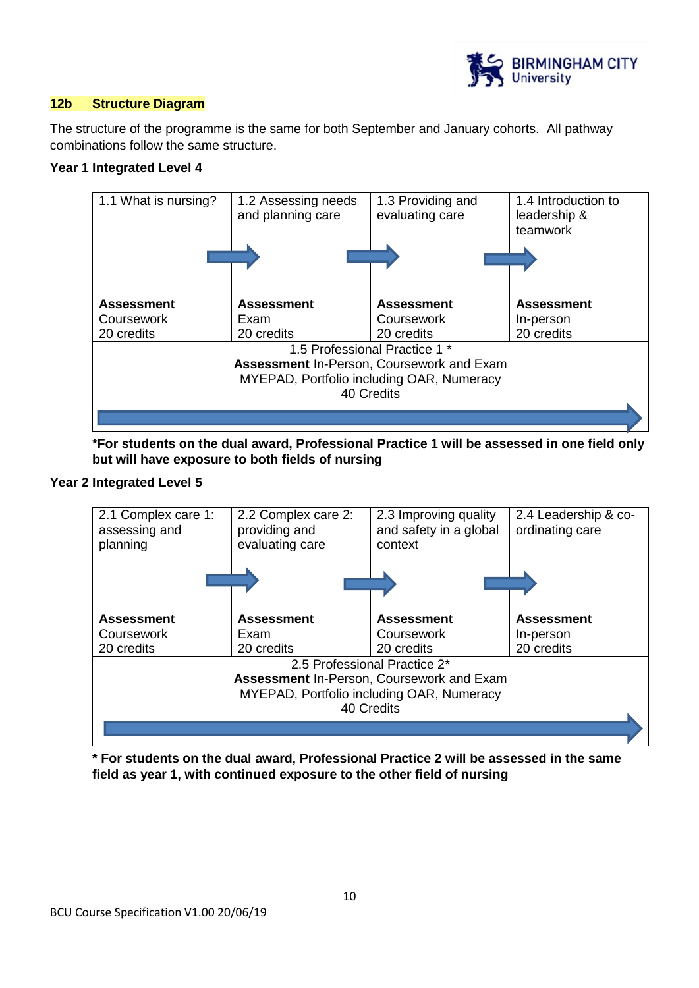

### **12b Structure Diagram**

The structure of the programme is the same for both September and January cohorts. All pathway combinations follow the same structure.

### **Year 1 Integrated Level 4**



**\*For students on the dual award, Professional Practice 1 will be assessed in one field only but will have exposure to both fields of nursing**

## **Year 2 Integrated Level 5**



**\* For students on the dual award, Professional Practice 2 will be assessed in the same field as year 1, with continued exposure to the other field of nursing**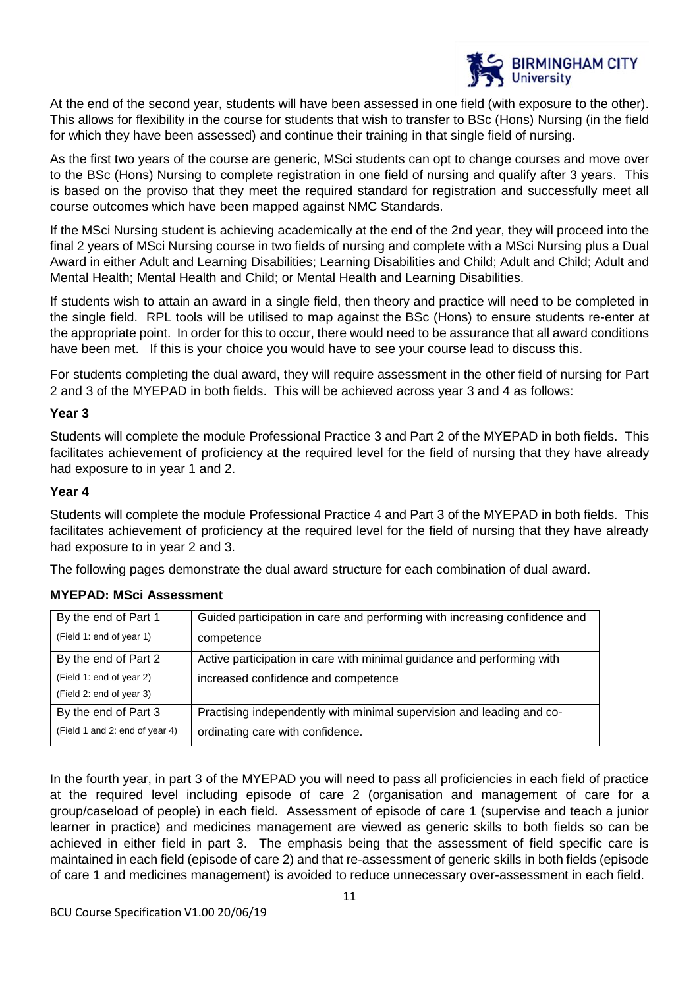

At the end of the second year, students will have been assessed in one field (with exposure to the other). This allows for flexibility in the course for students that wish to transfer to BSc (Hons) Nursing (in the field for which they have been assessed) and continue their training in that single field of nursing.

As the first two years of the course are generic, MSci students can opt to change courses and move over to the BSc (Hons) Nursing to complete registration in one field of nursing and qualify after 3 years. This is based on the proviso that they meet the required standard for registration and successfully meet all course outcomes which have been mapped against NMC Standards.

If the MSci Nursing student is achieving academically at the end of the 2nd year, they will proceed into the final 2 years of MSci Nursing course in two fields of nursing and complete with a MSci Nursing plus a Dual Award in either Adult and Learning Disabilities; Learning Disabilities and Child; Adult and Child; Adult and Mental Health; Mental Health and Child; or Mental Health and Learning Disabilities.

If students wish to attain an award in a single field, then theory and practice will need to be completed in the single field. RPL tools will be utilised to map against the BSc (Hons) to ensure students re-enter at the appropriate point. In order for this to occur, there would need to be assurance that all award conditions have been met. If this is your choice you would have to see your course lead to discuss this.

For students completing the dual award, they will require assessment in the other field of nursing for Part 2 and 3 of the MYEPAD in both fields. This will be achieved across year 3 and 4 as follows:

### **Year 3**

Students will complete the module Professional Practice 3 and Part 2 of the MYEPAD in both fields. This facilitates achievement of proficiency at the required level for the field of nursing that they have already had exposure to in year 1 and 2.

### **Year 4**

Students will complete the module Professional Practice 4 and Part 3 of the MYEPAD in both fields. This facilitates achievement of proficiency at the required level for the field of nursing that they have already had exposure to in year 2 and 3.

The following pages demonstrate the dual award structure for each combination of dual award.

| IYEPAD: MSci Assessment  |                                                                            |  |  |
|--------------------------|----------------------------------------------------------------------------|--|--|
| By the end of Part 1     | Guided participation in care and performing with increasing confidence and |  |  |
| (Field 1: end of year 1) | competence                                                                 |  |  |
| By the end of Part 2     | Active participation in care with minimal guidance and performing with     |  |  |
| (Field 1: end of year 2) | increased confidence and competence                                        |  |  |
| (Field 2: end of year 3) |                                                                            |  |  |

ordinating care with confidence.

#### **MYEPAD: MSci Assessment**

By the end of Part 3 (Field 1 and 2: end of year 4)

In the fourth year, in part 3 of the MYEPAD you will need to pass all proficiencies in each field of practice at the required level including episode of care 2 (organisation and management of care for a group/caseload of people) in each field. Assessment of episode of care 1 (supervise and teach a junior learner in practice) and medicines management are viewed as generic skills to both fields so can be achieved in either field in part 3. The emphasis being that the assessment of field specific care is maintained in each field (episode of care 2) and that re-assessment of generic skills in both fields (episode of care 1 and medicines management) is avoided to reduce unnecessary over-assessment in each field.

Practising independently with minimal supervision and leading and co-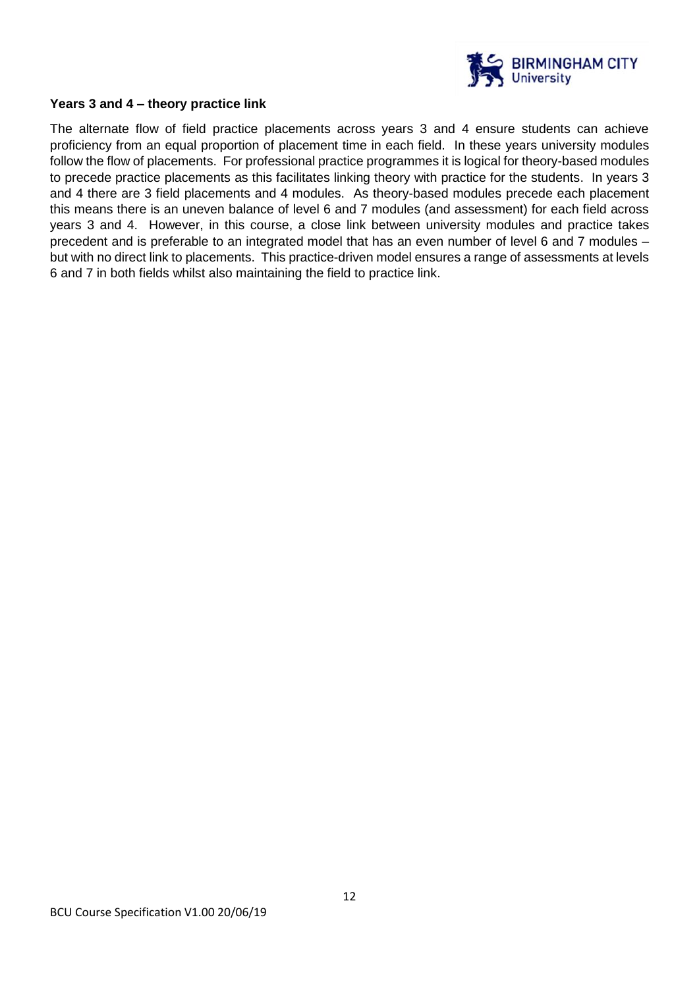

### **Years 3 and 4 – theory practice link**

The alternate flow of field practice placements across years 3 and 4 ensure students can achieve proficiency from an equal proportion of placement time in each field. In these years university modules follow the flow of placements. For professional practice programmes it is logical for theory-based modules to precede practice placements as this facilitates linking theory with practice for the students. In years 3 and 4 there are 3 field placements and 4 modules. As theory-based modules precede each placement this means there is an uneven balance of level 6 and 7 modules (and assessment) for each field across years 3 and 4. However, in this course, a close link between university modules and practice takes precedent and is preferable to an integrated model that has an even number of level 6 and 7 modules – but with no direct link to placements. This practice-driven model ensures a range of assessments at levels 6 and 7 in both fields whilst also maintaining the field to practice link.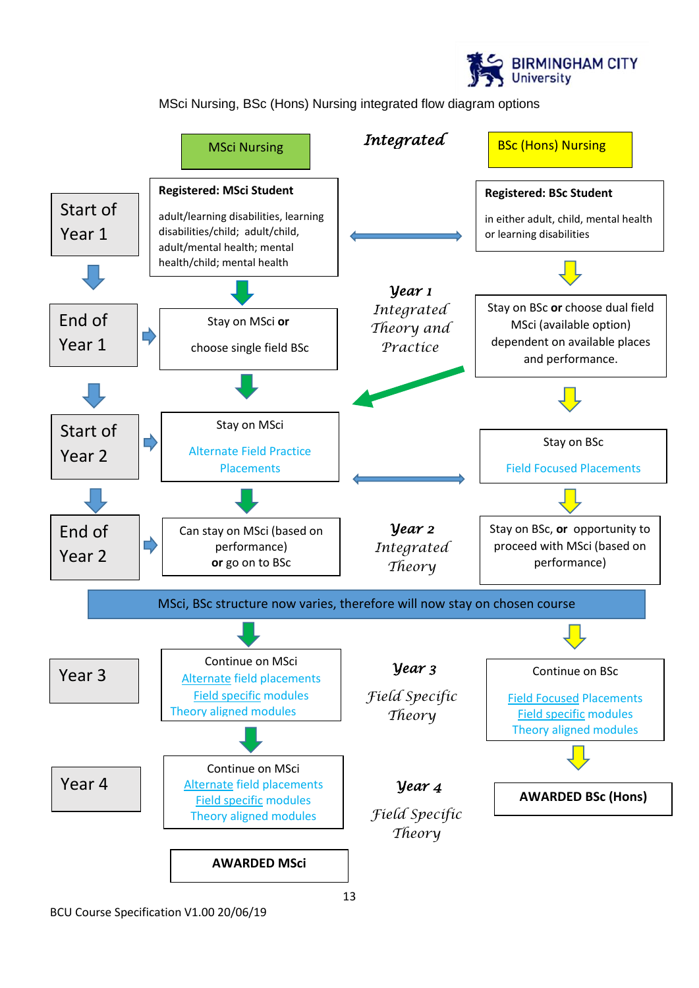

MSci Nursing, BSc (Hons) Nursing integrated flow diagram options

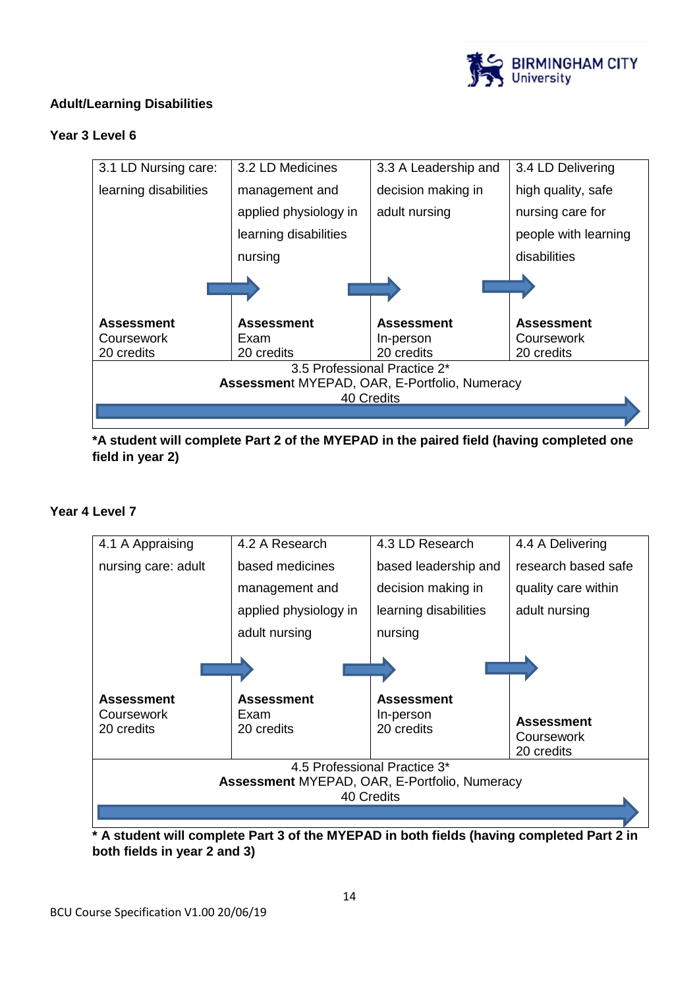

# **Adult/Learning Disabilities**

# **Year 3 Level 6**



**\*A student will complete Part 2 of the MYEPAD in the paired field (having completed one field in year 2)**

# **Year 4 Level 7**

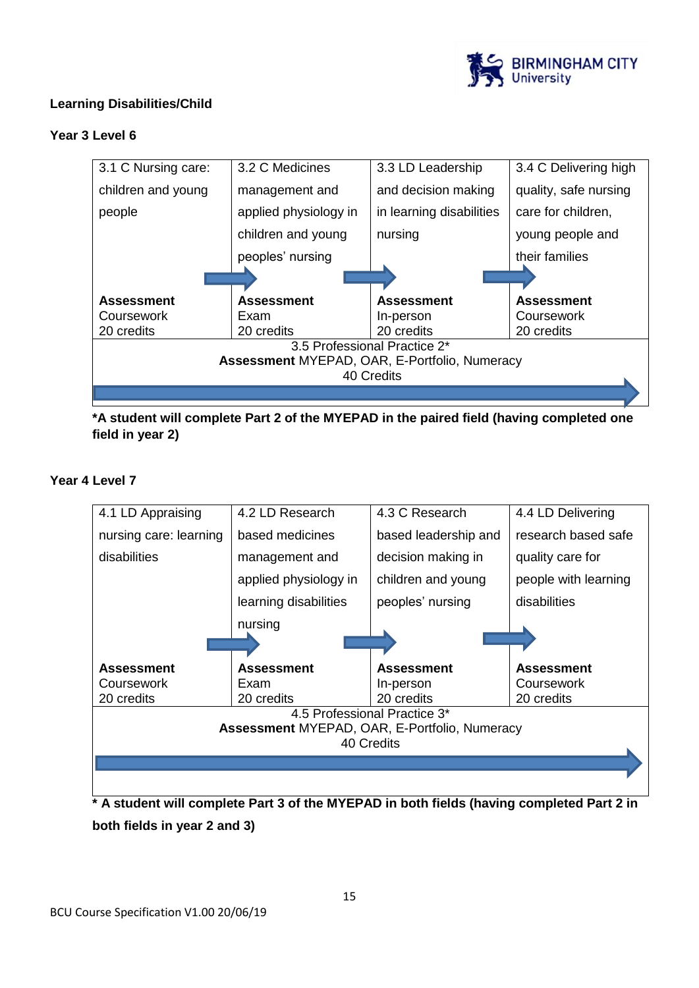

# **Learning Disabilities/Child**

# **Year 3 Level 6**



**\*A student will complete Part 2 of the MYEPAD in the paired field (having completed one field in year 2)**

### **Year 4 Level 7**

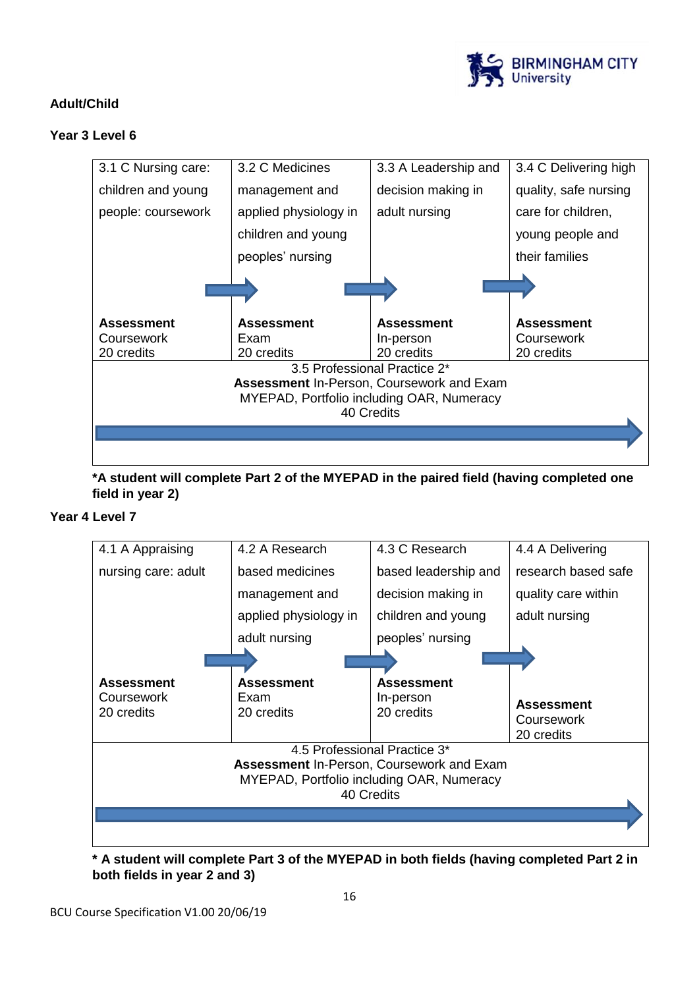

# **Adult/Child**

# **Year 3 Level 6**



# **\*A student will complete Part 2 of the MYEPAD in the paired field (having completed one field in year 2)**

### **Year 4 Level 7**

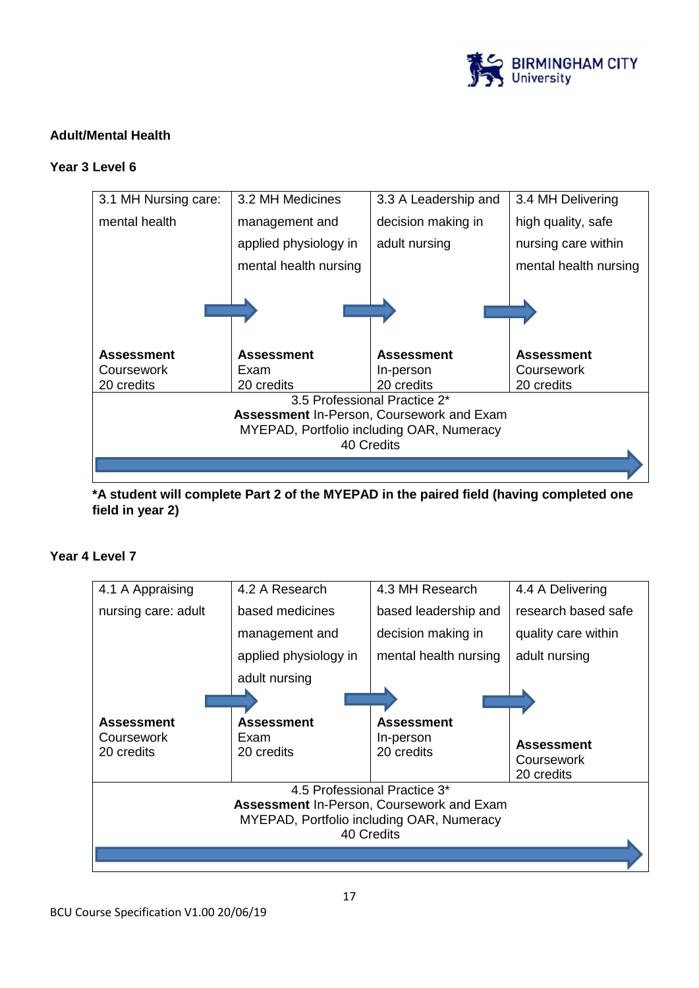

# **Adult/Mental Health**

### **Year 3 Level 6**



**\*A student will complete Part 2 of the MYEPAD in the paired field (having completed one field in year 2)**

### **Year 4 Level 7**

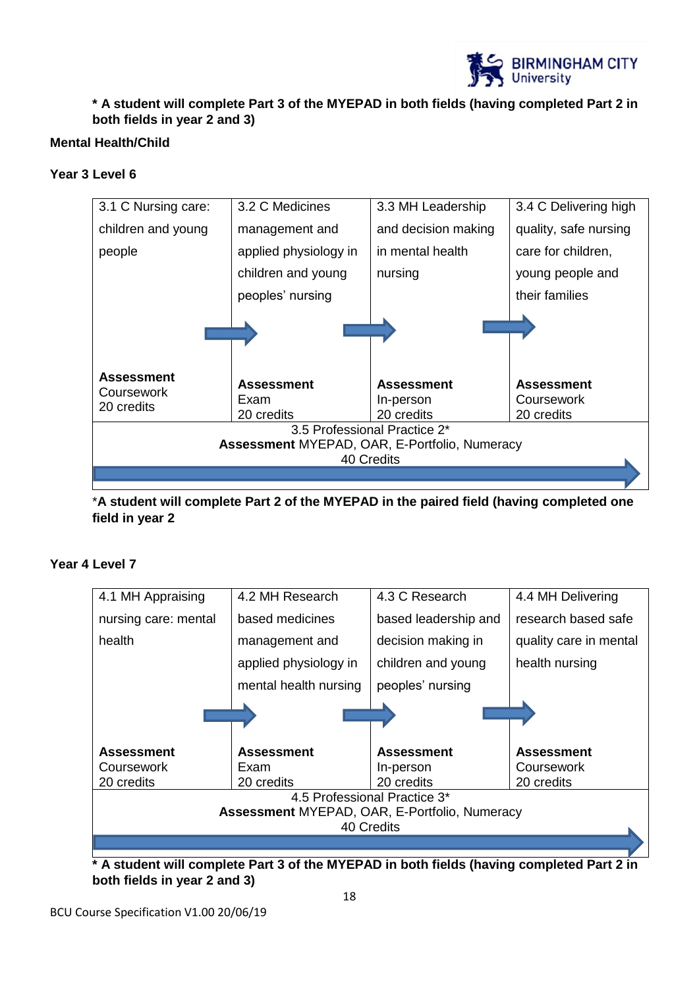

**\* A student will complete Part 3 of the MYEPAD in both fields (having completed Part 2 in both fields in year 2 and 3)**

# **Mental Health/Child**

# **Year 3 Level 6**



\***A student will complete Part 2 of the MYEPAD in the paired field (having completed one field in year 2**

### **Year 4 Level 7**

| nursing care: mental<br>health | based medicines<br>management and             | based leadership and<br>decision making in | research based safe<br>quality care in mental |
|--------------------------------|-----------------------------------------------|--------------------------------------------|-----------------------------------------------|
|                                |                                               |                                            |                                               |
|                                |                                               |                                            |                                               |
|                                | applied physiology in                         | children and young                         | health nursing                                |
|                                | mental health nursing                         | peoples' nursing                           |                                               |
|                                |                                               |                                            |                                               |
|                                |                                               |                                            |                                               |
| <b>Assessment</b>              | <b>Assessment</b>                             | <b>Assessment</b>                          | <b>Assessment</b>                             |
| Coursework                     | Exam                                          | In-person                                  | Coursework                                    |
| 20 credits                     | 20 credits                                    | 20 credits                                 | 20 credits                                    |
|                                |                                               | 4.5 Professional Practice 3*               |                                               |
|                                | Assessment MYEPAD, OAR, E-Portfolio, Numeracy |                                            |                                               |
|                                |                                               | 40 Credits                                 |                                               |
|                                |                                               |                                            |                                               |
|                                |                                               |                                            |                                               |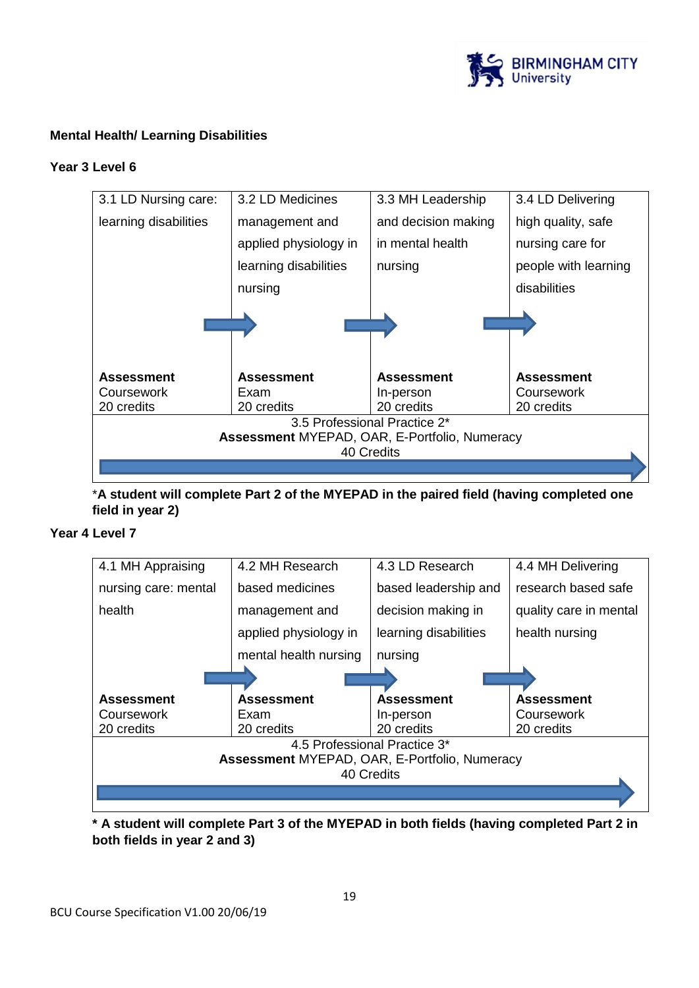

# **Mental Health/ Learning Disabilities**

### **Year 3 Level 6**



\***A student will complete Part 2 of the MYEPAD in the paired field (having completed one field in year 2)**

## **Year 4 Level 7**

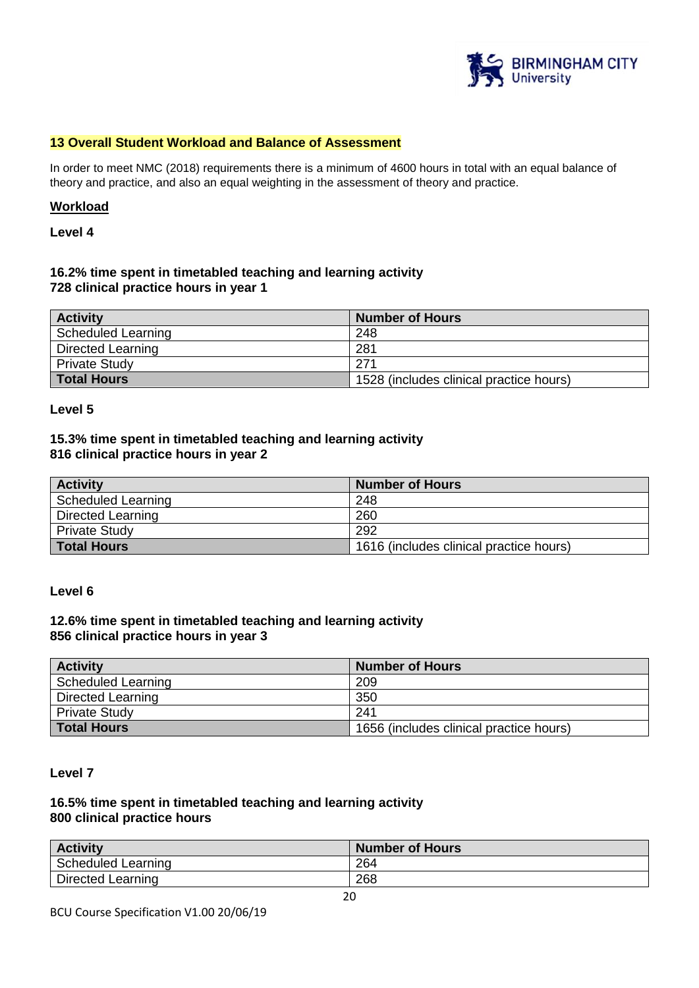

### **13 Overall Student Workload and Balance of Assessment**

In order to meet NMC (2018) requirements there is a minimum of 4600 hours in total with an equal balance of theory and practice, and also an equal weighting in the assessment of theory and practice.

#### **Workload**

**Level 4**

### **16.2% time spent in timetabled teaching and learning activity 728 clinical practice hours in year 1**

| <b>Activity</b>    | <b>Number of Hours</b>                  |
|--------------------|-----------------------------------------|
| Scheduled Learning | 248                                     |
| Directed Learning  | 281                                     |
| Private Study      | 271                                     |
| Total Hours        | 1528 (includes clinical practice hours) |

### **Level 5**

#### **15.3% time spent in timetabled teaching and learning activity 816 clinical practice hours in year 2**

| <b>Activity</b>      | <b>Number of Hours</b>                  |
|----------------------|-----------------------------------------|
| Scheduled Learning   | 248                                     |
| Directed Learning    | 260                                     |
| <b>Private Study</b> | 292                                     |
| Total Hours          | 1616 (includes clinical practice hours) |

#### **Level 6**

### **12.6% time spent in timetabled teaching and learning activity 856 clinical practice hours in year 3**

| <b>Activity</b>           | <b>Number of Hours</b>                  |
|---------------------------|-----------------------------------------|
| <b>Scheduled Learning</b> | 209                                     |
| Directed Learning         | 350                                     |
| <b>Private Study</b>      | 241                                     |
| <b>Total Hours</b>        | 1656 (includes clinical practice hours) |

#### **Level 7**

### **16.5% time spent in timetabled teaching and learning activity 800 clinical practice hours**

| <b>Activity</b>          | <b>Number of Hours</b> |
|--------------------------|------------------------|
| Scheduled Learning       | 264                    |
| <b>Directed Learning</b> | 268                    |